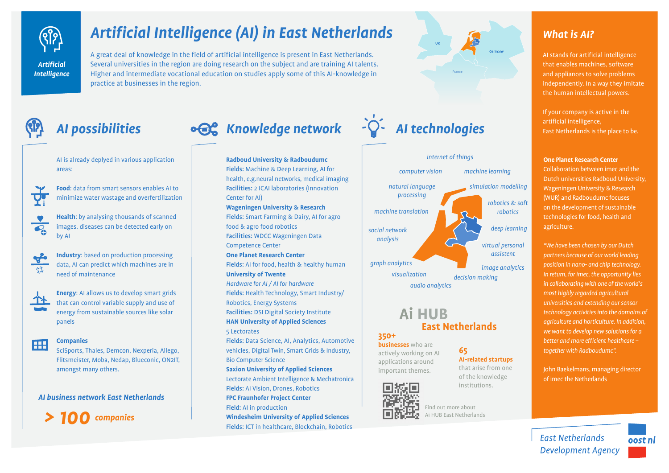

# *Artificial Intelligence (AI) in East Netherlands*

A great deal of knowledge in the field of artificial intelligence is present in East Netherlands. Several universities in the region are doing research on the subject and are training AI talents. Higher and intermediate vocational education on studies apply some of this AI-knowledge in practice at businesses in the region.

AI is already deplyed in various application areas:

Y

**Food**: data from smart sensors enables AI to minimize water wastage and overfertilization

**Health**: by analysing thousands of scanned  $\overline{\mathcal{C}_{\Lambda}}$ images. diseases can be detected early on by AI

**Industry**: based on production processing data, AI can predict which machines are in need of maintenance

个\*

Æ

 $\frac{f}{\sqrt{2}}$ 

**Energy**: AI allows us to develop smart grids that can control variable supply and use of energy from sustainable sources like solar panels

#### **Companies**

SciSports, Thales, Demcon, Nexperia, Allego, Flitsmeister, Moba, Nedap, Blueconic, ON2IT, amongst many others.

### *AI business network East Netherlands*



# AI possibilities **• <b>CC** Knowledge network  $-\hat{P}$  AI technologies







## **Ai HUB East Netherlands**

## **350+**

**businesses** who are actively working on AI applications around important themes.



Find out more about Ai HUB East Netherlands

#### **65 AI-related startups**

that arise from one of the knowledge institutions.

# *What is AI?*

AI stands for artificial intelligence that enables machines, software and appliances to solve problems independently. In a way they imitate the human intellectual powers.

If your company is active in the artificial intelligence, East Netherlands is the place to be.

#### **One Planet Research Center**

Collaboration between imec and the Dutch universities Radboud University, Wageningen University & Research (WUR) and Radboudumc focuses on the development of sustainable technologies for food, health and agriculture.

*"We have been chosen by our Dutch partners because of our world leading position in nano- and chip technology. In return, for imec, the opportunity lies in collaborating with one of the world's most highly regarded agricultural universities and extending our sensor technology activities into the domains of agriculture and horticulture. In addition, we want to develop new solutions for a better and more efficient healthcare – together with Radboudumc".*

John Baekelmans, managing director of imec the Netherlands



**East Netherlands Development Agency**